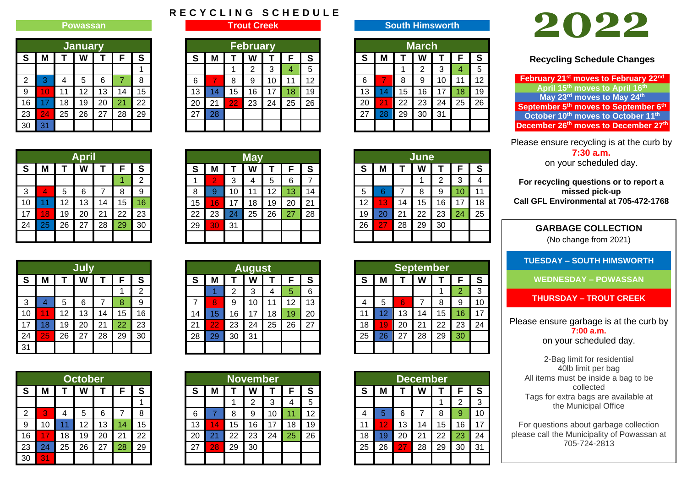## **Powassan**

| <b>January</b> |                       |    |    |    |    |    |  |  |  |  |
|----------------|-----------------------|----|----|----|----|----|--|--|--|--|
| S              | S<br>F<br>М<br>W<br>т |    |    |    |    |    |  |  |  |  |
|                |                       |    |    |    |    |    |  |  |  |  |
| $\overline{2}$ | 3                     | 4  | 5  | 6  | 7  | 8  |  |  |  |  |
| 9              | 10                    | 11 | 12 | 13 | 14 | 15 |  |  |  |  |
| 16             | 17                    | 18 | 19 | 20 | 21 | 22 |  |  |  |  |
| 23             | 24                    | 25 | 26 | 27 | 28 | 29 |  |  |  |  |
| 30             | 31                    |    |    |    |    |    |  |  |  |  |

|  |  |  |  | RECYCLING SCHEDULE |  |  |  |  |
|--|--|--|--|--------------------|--|--|--|--|
|  |  |  |  |                    |  |  |  |  |

**Trout Creek**

|    | <b>February</b> |    |    |    |    |    |  |  |  |  |
|----|-----------------|----|----|----|----|----|--|--|--|--|
| S  | М               |    |    |    | F  | S  |  |  |  |  |
|    |                 |    | 2  | 3  | 4  | 5  |  |  |  |  |
| 6  |                 | 8  | 9  | 10 | 11 | 12 |  |  |  |  |
| 13 | 14              | 15 | 16 | 17 | 18 | 19 |  |  |  |  |
| 20 | 21              | 22 | 23 | 24 | 25 | 26 |  |  |  |  |
| 27 | 28              |    |    |    |    |    |  |  |  |  |
|    |                 |    |    |    |    |    |  |  |  |  |

| March |    |    |    |    |    |    |  |  |  |  |  |
|-------|----|----|----|----|----|----|--|--|--|--|--|
| S     | М  |    | W  | т  | F  | S  |  |  |  |  |  |
|       |    |    | 2  | 3  |    | 5  |  |  |  |  |  |
| 6     |    | 8  | 9  | 10 | 11 | 12 |  |  |  |  |  |
| 13    | 14 | 15 | 16 | 17 | 18 | 19 |  |  |  |  |  |
|       |    |    |    |    |    |    |  |  |  |  |  |

**South Himsworth**

| 20 l |    |    | 21 22 23 24 25 26 |    |  |  |  |  |  |  |  |
|------|----|----|-------------------|----|--|--|--|--|--|--|--|
| 27   | 28 | 29 | 30                | 31 |  |  |  |  |  |  |  |
|      |    |    |                   |    |  |  |  |  |  |  |  |
|      |    |    |                   |    |  |  |  |  |  |  |  |
|      |    |    |                   |    |  |  |  |  |  |  |  |
|      |    |    |                   |    |  |  |  |  |  |  |  |

| June |    |    |    |    |    |    |  |  |  |  |  |
|------|----|----|----|----|----|----|--|--|--|--|--|
| S    | М  | т  | W  | т  | F  | S  |  |  |  |  |  |
|      |    |    |    | 2  | 3  |    |  |  |  |  |  |
| 5    | 6  |    | 8  | 9  | 10 | 11 |  |  |  |  |  |
| 12   | 13 | 14 | 15 | 16 | 17 | 18 |  |  |  |  |  |
| 19   | 20 | 21 | 22 | 23 | 24 | 25 |  |  |  |  |  |
| 26   | 27 | 28 | 29 | 30 |    |    |  |  |  |  |  |
|      |    |    |    |    |    |    |  |  |  |  |  |

| <b>September</b> |                            |    |    |    |                |    |  |  |  |  |
|------------------|----------------------------|----|----|----|----------------|----|--|--|--|--|
| S                | S<br>F<br>М<br>W<br>т<br>т |    |    |    |                |    |  |  |  |  |
|                  |                            |    |    |    | $\overline{2}$ | 3  |  |  |  |  |
| 4                | 5                          | 6  | 7  | 8  | 9              | 10 |  |  |  |  |
| 11               | 12                         | 13 | 14 | 15 | 16             | 17 |  |  |  |  |
| 18               | 19                         | 20 | 21 | 22 | 23             | 24 |  |  |  |  |
| 25               | 26                         | 27 | 28 | 29 | 30             |    |  |  |  |  |
|                  |                            |    |    |    |                |    |  |  |  |  |

| <b>December</b> |             |    |    |    |    |    |  |  |  |  |
|-----------------|-------------|----|----|----|----|----|--|--|--|--|
| S               | F<br>М<br>W |    |    |    |    |    |  |  |  |  |
|                 |             |    |    | 1  | 2  | 3  |  |  |  |  |
| 4               | 5           | 6  | 7  | 8  | 9  | 10 |  |  |  |  |
| 11              | 12          | 13 | 14 | 15 | 16 | 17 |  |  |  |  |
| 18              | 19          | 20 | 21 | 22 | 23 | 24 |  |  |  |  |
| 25              | 26          | 27 | 28 | 29 | 30 | 31 |  |  |  |  |
|                 |             |    |    |    |    |    |  |  |  |  |

# **2022**

**Recycling Schedule Changes**

**February 21st moves to February 22nd April 15th moves to April 16th May 23rd moves to May 24th September 5th moves to September 6th October 10th moves to October 11th December 26th moves to December 27th**

Please ensure recycling is at the curb by **7:30 a.m.** on your scheduled day.

**For recycling questions or to report a missed pick-up Call GFL Environmental at 705-472-1768**

> **GARBAGE COLLECTION** (No change from 2021)

**TUESDAY – SOUTH HIMSWORTH**

**WEDNESDAY – POWASSAN**

**THURSDAY – TROUT CREEK**

Please ensure garbage is at the curb by **7:00 a.m.** on your scheduled day.

2-Bag limit for residential 40lb limit per bag All items must be inside a bag to be collected Tags for extra bags are available at the Municipal Office

For questions about garbage collection please call the Municipality of Powassan at 705-724-2813

| <b>April</b>                    |    |    |    |    |    |                |  |  |  |  |
|---------------------------------|----|----|----|----|----|----------------|--|--|--|--|
| S<br>S<br>M<br>F<br>W<br>Т<br>т |    |    |    |    |    |                |  |  |  |  |
|                                 |    |    |    |    |    | $\overline{2}$ |  |  |  |  |
| 3                               | 4  | 5  | 6  | 7  | 8  | 9              |  |  |  |  |
| 10                              | 11 | 12 | 13 | 14 | 15 | 16             |  |  |  |  |
| 17                              | 18 | 19 | 20 | 21 | 22 | 23             |  |  |  |  |
| 24                              | 25 | 26 | 27 | 28 | 29 | 30             |  |  |  |  |
|                                 |    |    |    |    |    |                |  |  |  |  |

|    | July                       |    |    |    |    |                |  |  |  |  |  |
|----|----------------------------|----|----|----|----|----------------|--|--|--|--|--|
| S  | S<br>F<br>W<br>M<br>Τ<br>т |    |    |    |    |                |  |  |  |  |  |
|    |                            |    |    |    |    | $\overline{2}$ |  |  |  |  |  |
| 3  | 4                          | 5  | 6  | 7  | 8  | 9              |  |  |  |  |  |
| 10 | 11                         | 12 | 13 | 14 | 15 | 16             |  |  |  |  |  |
| 17 | 18                         | 19 | 20 | 21 | 22 | 23             |  |  |  |  |  |
| 24 | 25                         | 26 | 27 | 28 | 29 | 30             |  |  |  |  |  |
| 31 |                            |    |    |    |    |                |  |  |  |  |  |

|    | <b>October</b>             |    |    |    |    |    |  |  |  |  |  |
|----|----------------------------|----|----|----|----|----|--|--|--|--|--|
| S  | S<br>F<br>М<br>Т<br>W<br>Т |    |    |    |    |    |  |  |  |  |  |
|    |                            |    |    |    |    |    |  |  |  |  |  |
| 2  | 3                          | 4  | 5  | 6  | 7  | 8  |  |  |  |  |  |
| 9  | 10                         | 11 | 12 | 13 | 14 | 15 |  |  |  |  |  |
| 16 | 17                         | 18 | 19 | 20 | 21 | 22 |  |  |  |  |  |
| 23 | 24                         | 25 | 26 | 27 | 28 | 29 |  |  |  |  |  |
| 30 | 31                         |    |    |    |    |    |  |  |  |  |  |

|    | <b>May</b>     |    |    |              |    |    |  |  |  |  |  |
|----|----------------|----|----|--------------|----|----|--|--|--|--|--|
| S  | Μ              |    | W  | $\mathbf{T}$ | F  | S  |  |  |  |  |  |
|    | $\overline{2}$ | 3  | 4  | 5            | 6  |    |  |  |  |  |  |
| 8  | 9              | 10 | 11 | 12           | 13 | 14 |  |  |  |  |  |
| 15 | 16             | 17 | 18 | 19           | 20 | 21 |  |  |  |  |  |
| 22 | 23             | 24 | 25 | 26           | 27 | 28 |  |  |  |  |  |
| 29 | 30             | 31 |    |              |    |    |  |  |  |  |  |
|    |                |    |    |              |    |    |  |  |  |  |  |

| <b>August</b> |    |    |    |    |    |    |  |  |  |
|---------------|----|----|----|----|----|----|--|--|--|
| S             | М  | Τ  |    | т  | F  | S  |  |  |  |
|               |    | 2  | 3  |    | 5  | 6  |  |  |  |
|               | 8  | 9  | 10 | 11 | 12 | 13 |  |  |  |
| 14            | 15 | 16 | 17 | 18 | 19 | 20 |  |  |  |
| 21            | 22 | 23 | 24 | 25 | 26 | 27 |  |  |  |
| 28            | 29 | 30 | 31 |    |    |    |  |  |  |
|               |    |    |    |    |    |    |  |  |  |

| <b>November</b> |    |    |    |    |    |    |  |  |  |  |
|-----------------|----|----|----|----|----|----|--|--|--|--|
| S               | М  | Т  | W  |    | F  | S  |  |  |  |  |
|                 |    |    | 2  | 3  | 4  | 5  |  |  |  |  |
| 6               | 7  | 8  | 9  | 10 | 11 | 12 |  |  |  |  |
| 13              | 14 | 15 | 16 | 17 | 18 | 19 |  |  |  |  |
| 20              | 21 | 22 | 23 | 24 | 25 | 26 |  |  |  |  |
| 27              | 28 | 29 | 30 |    |    |    |  |  |  |  |
|                 |    |    |    |    |    |    |  |  |  |  |
|                 |    |    |    |    |    |    |  |  |  |  |